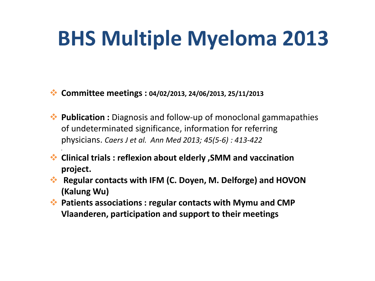## **BHS Multiple Myeloma 2013**

**Committee meetings : 04/02/2013, 24/06/2013, 25/11/2013**

*.*

- ◆ **Publication :** Diagnosis and follow-up of monoclonal gammapathies of undeterminated significance, information for referring physicians. *Caers J et al. Ann Med 2013; 45(5-6) : 413-422*
- **Clinical trials : reflexion about elderly ,SMM and vaccination project.**
- **Regular contacts with IFM (C. Doyen, M. Delforge) and HOVON (Kalung Wu)**
- **Patients associations : regular contacts with Mymu and CMP Vlaanderen, participation and support to their meetings**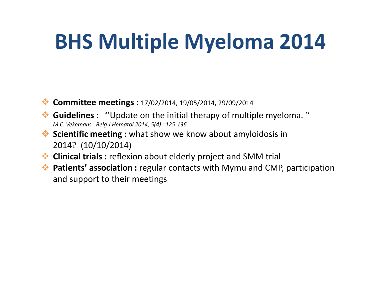## **BHS Multiple Myeloma 2014**

- **Committee meetings :** 17/02/2014, 19/05/2014, 29/09/2014
- **Guidelines : '**'Update on the initial therapy of multiple myeloma. '' *M.C. Vekemans. Belg J Hematol 2014; 5(4) : 125-136*
- **Scientific meeting :** what show we know about amyloidosis in 2014? (10/10/2014)
- **Clinical trials :** reflexion about elderly project and SMM trial
- **Patients' association :** regular contacts with Mymu and CMP, participation and support to their meetings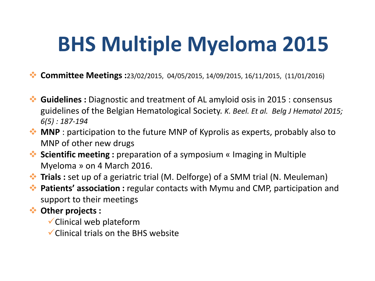## **BHS Multiple Myeloma 2015**

- **Committee Meetings :**23/02/2015, 04/05/2015, 14/09/2015, 16/11/2015, (11/01/2016)
- **Guidelines :** Diagnostic and treatment of AL amyloid osis in 2015 : consensus guidelines of the Belgian Hematological Society. *K. Beel. Et al. Belg J Hematol 2015; 6(5) : 187-194*
- **MNP** : participation to the future MNP of Kyprolis as experts, probably also to MNP of other new drugs
- **Scientific meeting :** preparation of a symposium « Imaging in Multiple Myeloma » on 4 March 2016.
- **Trials :** set up of a geriatric trial (M. Delforge) of a SMM trial (N. Meuleman)
- **Patients' association :** regular contacts with Mymu and CMP, participation and support to their meetings
- **Other projects :** 
	- Clinical web plateform
	- $\checkmark$  Clinical trials on the BHS website